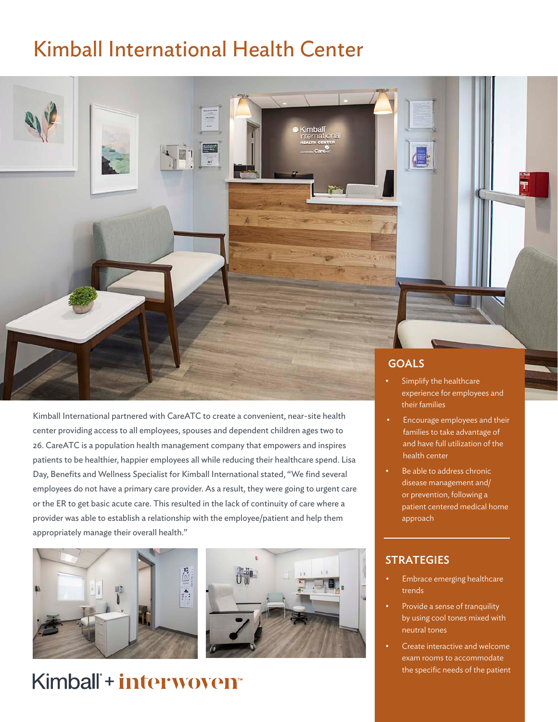## Kimball International Health Center



Kimball International partnered with CareATC to create a convenient, near-site health center providing access to all employees, spouses and dependent children ages two to 26. CareATC is a population health management company that empowers and inspires patients to be healthier, happier employees all while reducing their healthcare spend. Lisa Day, Benefits and Wellness Specialist for Kimball International stated, "We find several employees do not have a primary care provider. As a result, they were going to urgent care or the ER to get basic acute care. This resulted in the lack of continuity of care where a provider was able to establish a relationship with the employee/patient and help them appropriately manage their overall health."





## Kimball<sup>\*+</sup> interwoven<sup>\*</sup>

- experience for employees and their families
- Encourage employees and their families to take advantage of and have full utilization of the health center
- Be able to address chronic disease management and/ or prevention, following a patient centered medical home approach

## **STRATEGIES**

- Embrace emerging healthcare trends
- Provide a sense of tranquility by using cool tones mixed with neutral tones
- Create interactive and welcome exam rooms to accommodate the specific needs of the patient